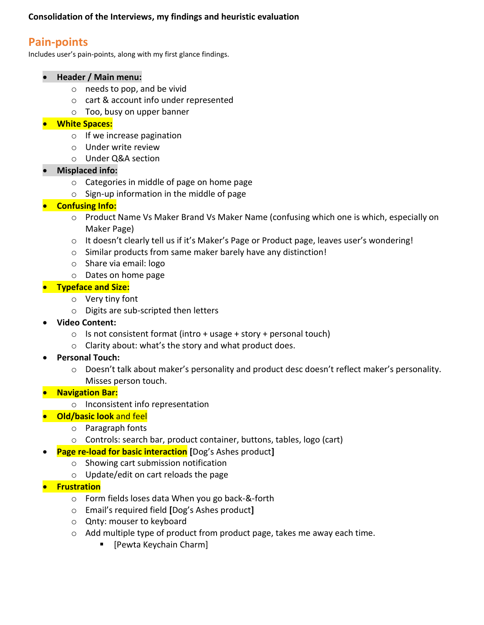# **Pain-points**

Includes user's pain-points, along with my first glance findings.

#### • **Header / Main menu:**

- o needs to pop, and be vivid
- o cart & account info under represented
- o Too, busy on upper banner

### • **White Spaces:**

- o If we increase pagination
- o Under write review
- o Under Q&A section
- **Misplaced info:**
	- o Categories in middle of page on home page
	- o Sign-up information in the middle of page

### • **Confusing Info:**

- o Product Name Vs Maker Brand Vs Maker Name (confusing which one is which, especially on Maker Page)
- o It doesn't clearly tell us if it's Maker's Page or Product page, leaves user's wondering!
- o Similar products from same maker barely have any distinction!
- o Share via email: logo
- o Dates on home page

### • **Typeface and Size:**

- o Very tiny font
- o Digits are sub-scripted then letters
- **Video Content:**
	- $\circ$  Is not consistent format (intro + usage + story + personal touch)
	- o Clarity about: what's the story and what product does.
- **Personal Touch:**
	- $\circ$  Doesn't talk about maker's personality and product desc doesn't reflect maker's personality. Misses person touch.

#### • **Navigation Bar:**

- o Inconsistent info representation
- **Old/basic look** and feel
	- o Paragraph fonts
	- o Controls: search bar, product container, buttons, tables, logo (cart)
	- **Page re-load for basic interaction [**Dog's Ashes product**]**
		- o Showing cart submission notification
		- o Update/edit on cart reloads the page
- **Frustration**
	- o Form fields loses data When you go back-&-forth
	- o Email's required field **[**Dog's Ashes product**]**
	- o Qnty: mouser to keyboard
	- o Add multiple type of product from product page, takes me away each time.
		- [Pewta Keychain Charm]